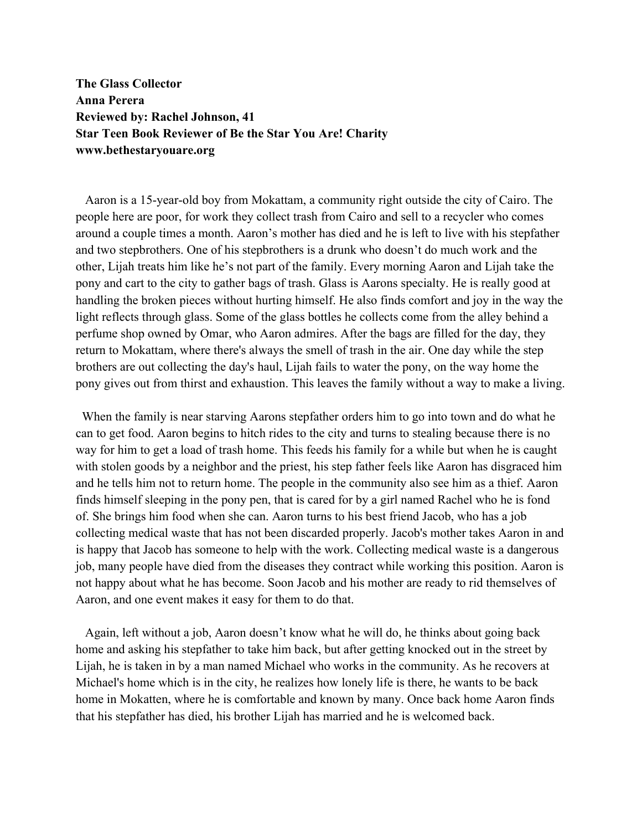**The Glass Collector Anna Perera Reviewed by: Rachel Johnson, 41 Star Teen Book Reviewer of Be the Star You Are! Charity www.bethestaryouare.org**

 Aaron is a 15-year-old boy from Mokattam, a community right outside the city of Cairo. The people here are poor, for work they collect trash from Cairo and sell to a recycler who comes around a couple times a month. Aaron's mother has died and he is left to live with his stepfather and two stepbrothers. One of his stepbrothers is a drunk who doesn't do much work and the other, Lijah treats him like he's not part of the family. Every morning Aaron and Lijah take the pony and cart to the city to gather bags of trash. Glass is Aarons specialty. He is really good at handling the broken pieces without hurting himself. He also finds comfort and joy in the way the light reflects through glass. Some of the glass bottles he collects come from the alley behind a perfume shop owned by Omar, who Aaron admires. After the bags are filled for the day, they return to Mokattam, where there's always the smell of trash in the air. One day while the step brothers are out collecting the day's haul, Lijah fails to water the pony, on the way home the pony gives out from thirst and exhaustion. This leaves the family without a way to make a living.

 When the family is near starving Aarons stepfather orders him to go into town and do what he can to get food. Aaron begins to hitch rides to the city and turns to stealing because there is no way for him to get a load of trash home. This feeds his family for a while but when he is caught with stolen goods by a neighbor and the priest, his step father feels like Aaron has disgraced him and he tells him not to return home. The people in the community also see him as a thief. Aaron finds himself sleeping in the pony pen, that is cared for by a girl named Rachel who he is fond of. She brings him food when she can. Aaron turns to his best friend Jacob, who has a job collecting medical waste that has not been discarded properly. Jacob's mother takes Aaron in and is happy that Jacob has someone to help with the work. Collecting medical waste is a dangerous job, many people have died from the diseases they contract while working this position. Aaron is not happy about what he has become. Soon Jacob and his mother are ready to rid themselves of Aaron, and one event makes it easy for them to do that.

 Again, left without a job, Aaron doesn't know what he will do, he thinks about going back home and asking his stepfather to take him back, but after getting knocked out in the street by Lijah, he is taken in by a man named Michael who works in the community. As he recovers at Michael's home which is in the city, he realizes how lonely life is there, he wants to be back home in Mokatten, where he is comfortable and known by many. Once back home Aaron finds that his stepfather has died, his brother Lijah has married and he is welcomed back.